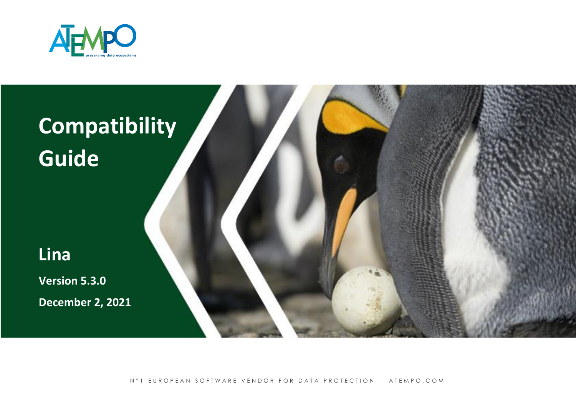

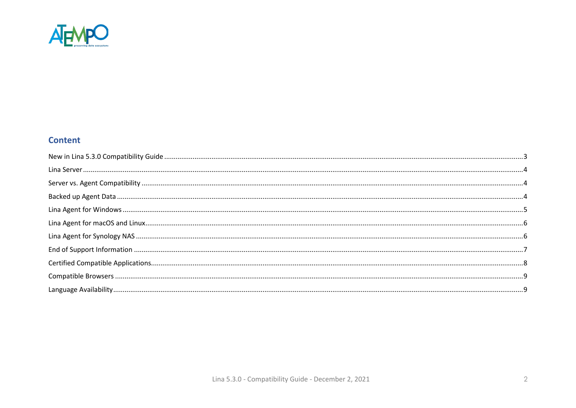

#### **Content**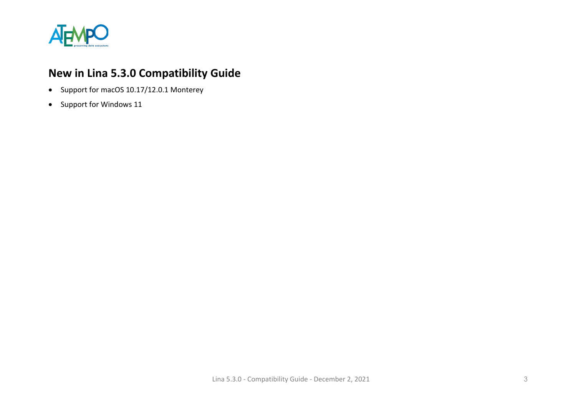

# <span id="page-2-0"></span>**New in Lina 5.3.0 Compatibility Guide**

- Support for macOS 10.17/12.0.1 Monterey
- Support for Windows 11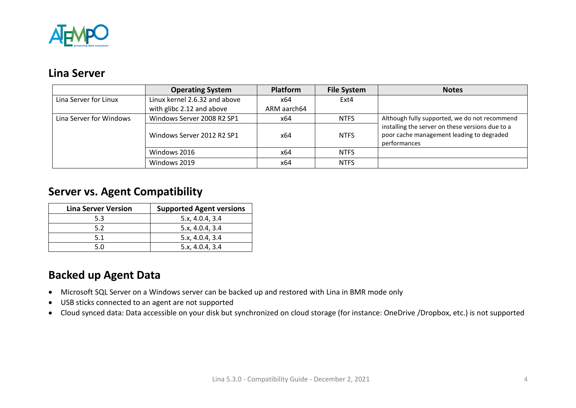

#### <span id="page-3-0"></span>**Lina Server**

|                         | <b>Operating System</b>       | Platform    | <b>File System</b> | <b>Notes</b>                                                                                                  |
|-------------------------|-------------------------------|-------------|--------------------|---------------------------------------------------------------------------------------------------------------|
| Lina Server for Linux   | Linux kernel 2.6.32 and above | x64         | Ext4               |                                                                                                               |
|                         | with glibc 2.12 and above     | ARM aarch64 |                    |                                                                                                               |
| Lina Server for Windows | Windows Server 2008 R2 SP1    | x64         | <b>NTFS</b>        | Although fully supported, we do not recommend                                                                 |
|                         | Windows Server 2012 R2 SP1    | x64         | <b>NTFS</b>        | installing the server on these versions due to a<br>poor cache management leading to degraded<br>performances |
|                         | Windows 2016                  | x64         | <b>NTFS</b>        |                                                                                                               |
|                         | Windows 2019                  | x64         | <b>NTFS</b>        |                                                                                                               |

#### <span id="page-3-1"></span>**Server vs. Agent Compatibility**

| <b>Lina Server Version</b> | <b>Supported Agent versions</b> |
|----------------------------|---------------------------------|
| 5.3                        | 5.x, 4.0.4, 3.4                 |
| 5.2                        | 5.x, 4.0.4, 3.4                 |
| 5.1                        | 5.x, 4.0.4, 3.4                 |
| 5.0                        | 5.x, 4.0.4, 3.4                 |

### <span id="page-3-2"></span>**Backed up Agent Data**

- Microsoft SQL Server on a Windows server can be backed up and restored with Lina in BMR mode only
- USB sticks connected to an agent are not supported
- Cloud synced data: Data accessible on your disk but synchronized on cloud storage (for instance: OneDrive /Dropbox, etc.) is not supported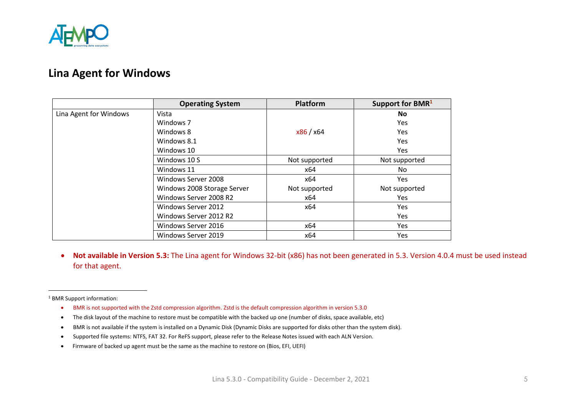

#### <span id="page-4-0"></span>**Lina Agent for Windows**

|                        | <b>Operating System</b>     | <b>Platform</b> | Support for BMR <sup>1</sup> |
|------------------------|-----------------------------|-----------------|------------------------------|
| Lina Agent for Windows | Vista                       |                 | <b>No</b>                    |
|                        | Windows 7                   |                 | <b>Yes</b>                   |
|                        | Windows 8                   | x86 / x64       | <b>Yes</b>                   |
|                        | Windows 8.1                 |                 | <b>Yes</b>                   |
|                        | Windows 10                  |                 | Yes                          |
|                        | Windows 10 S                | Not supported   | Not supported                |
|                        | Windows 11                  | x64             | No                           |
|                        | Windows Server 2008         | x64             | <b>Yes</b>                   |
|                        | Windows 2008 Storage Server | Not supported   | Not supported                |
|                        | Windows Server 2008 R2      | x64             | <b>Yes</b>                   |
|                        | Windows Server 2012         | x64             | <b>Yes</b>                   |
|                        | Windows Server 2012 R2      |                 | <b>Yes</b>                   |
|                        | Windows Server 2016         | x64             | Yes                          |
|                        | Windows Server 2019         | x64             | Yes                          |

• **Not available in Version 5.3:** The Lina agent for Windows 32-bit (x86) has not been generated in 5.3. Version 4.0.4 must be used instead for that agent.

<sup>1</sup> BMR Support information:

- BMR is not supported with the Zstd compression algorithm. Zstd is the default compression algorithm in version 5.3.0
- The disk layout of the machine to restore must be compatible with the backed up one (number of disks, space available, etc)
- BMR is not available if the system is installed on a Dynamic Disk (Dynamic Disks are supported for disks other than the system disk).
- Supported file systems: NTFS, FAT 32. For ReFS support, please refer to the Release Notes issued with each ALN Version.
- Firmware of backed up agent must be the same as the machine to restore on (Bios, EFI, UEFI)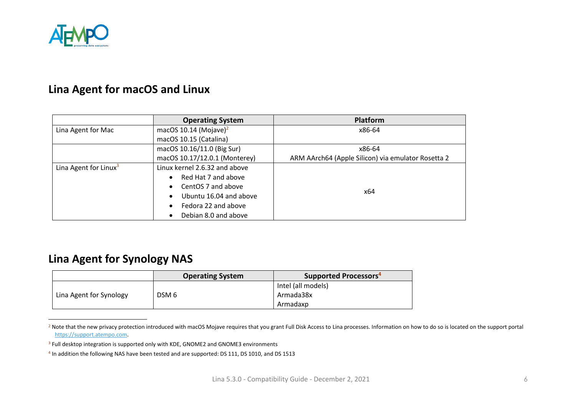

#### <span id="page-5-0"></span>**Lina Agent for macOS and Linux**

|                                   | <b>Operating System</b>             | <b>Platform</b>                                    |
|-----------------------------------|-------------------------------------|----------------------------------------------------|
| Lina Agent for Mac                | macOS 10.14 (Mojave) <sup>2</sup>   | x86-64                                             |
|                                   | macOS 10.15 (Catalina)              |                                                    |
|                                   | macOS 10.16/11.0 (Big Sur)          | x86-64                                             |
|                                   | macOS 10.17/12.0.1 (Monterey)       | ARM AArch64 (Apple Silicon) via emulator Rosetta 2 |
| Lina Agent for Linux <sup>3</sup> | Linux kernel 2.6.32 and above       |                                                    |
|                                   | Red Hat 7 and above<br>$\bullet$    |                                                    |
|                                   | CentOS 7 and above<br>$\bullet$     |                                                    |
|                                   | Ubuntu 16.04 and above<br>$\bullet$ | x64                                                |
|                                   | Fedora 22 and above<br>$\bullet$    |                                                    |
|                                   | Debian 8.0 and above<br>$\bullet$   |                                                    |

### <span id="page-5-1"></span>**Lina Agent for Synology NAS**

|                         | <b>Operating System</b> | Supported Processors <sup>4</sup> |
|-------------------------|-------------------------|-----------------------------------|
|                         |                         | Intel (all models)                |
| Lina Agent for Synology | DSM <sub>6</sub>        | Armada38x                         |
|                         |                         | Armadaxp                          |

<sup>&</sup>lt;sup>2</sup> Note that the new privacy protection introduced with macOS Mojave requires that you grant Full Disk Access to Lina processes. Information on how to do so is located on the support portal [https://support.atempo.com.](https://support.atempo.com/)

<sup>&</sup>lt;sup>3</sup> Full desktop integration is supported only with KDE, GNOME2 and GNOME3 environments

<sup>4</sup> In addition the following NAS have been tested and are supported: DS 111, DS 1010, and DS 1513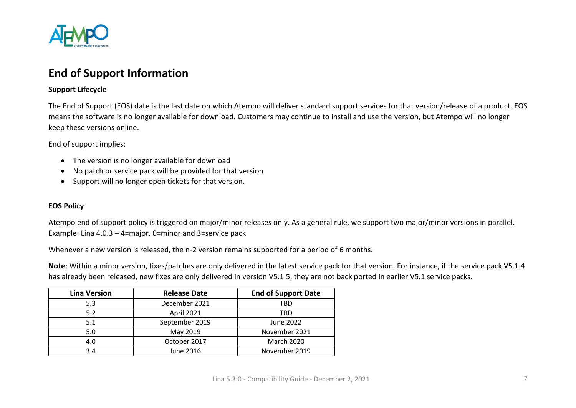

### <span id="page-6-0"></span>**End of Support Information**

#### **Support Lifecycle**

The End of Support (EOS) date is the last date on which Atempo will deliver standard support services for that version/release of a product. EOS means the software is no longer available for download. Customers may continue to install and use the version, but Atempo will no longer keep these versions online.

End of support implies:

- The version is no longer available for download
- No patch or service pack will be provided for that version
- Support will no longer open tickets for that version.

#### **EOS Policy**

Atempo end of support policy is triggered on major/minor releases only. As a general rule, we support two major/minor versions in parallel. Example: Lina 4.0.3 – 4=major, 0=minor and 3=service pack

Whenever a new version is released, the n-2 version remains supported for a period of 6 months.

**Note**: Within a minor version, fixes/patches are only delivered in the latest service pack for that version. For instance, if the service pack V5.1.4 has already been released, new fixes are only delivered in version V5.1.5, they are not back ported in earlier V5.1 service packs.

| <b>Lina Version</b> | <b>Release Date</b> | <b>End of Support Date</b> |
|---------------------|---------------------|----------------------------|
| 5.3                 | December 2021       | TBD                        |
| 5.2                 | April 2021          | TBD                        |
| 5.1                 | September 2019      | June 2022                  |
| 5.0                 | May 2019            | November 2021              |
| 4.0                 | October 2017        | <b>March 2020</b>          |
| 3.4                 | June 2016           | November 2019              |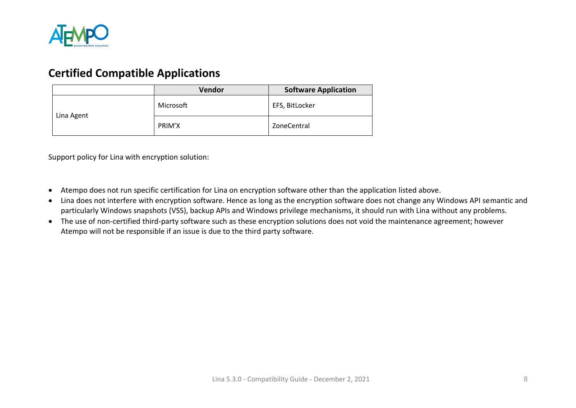

#### <span id="page-7-0"></span>**Certified Compatible Applications**

|            | Vendor    | <b>Software Application</b> |
|------------|-----------|-----------------------------|
| Lina Agent | Microsoft | EFS, BitLocker              |
|            | PRIM'X    | ZoneCentral                 |

Support policy for Lina with encryption solution:

- Atempo does not run specific certification for Lina on encryption software other than the application listed above.
- Lina does not interfere with encryption software. Hence as long as the encryption software does not change any Windows API semantic and particularly Windows snapshots (VSS), backup APIs and Windows privilege mechanisms, it should run with Lina without any problems.
- The use of non-certified third-party software such as these encryption solutions does not void the maintenance agreement; however Atempo will not be responsible if an issue is due to the third party software.